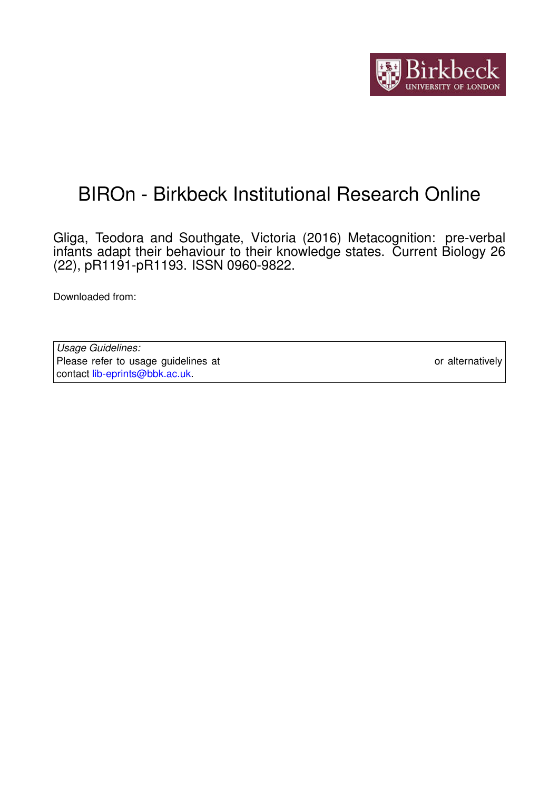

# BIROn - Birkbeck Institutional Research Online

Gliga, Teodora and Southgate, Victoria (2016) Metacognition: pre-verbal infants adapt their behaviour to their knowledge states. Current Biology 26 (22), pR1191-pR1193. ISSN 0960-9822.

Downloaded from: <https://eprints.bbk.ac.uk/id/eprint/16466/>

*Usage Guidelines:* Please refer to usage guidelines at <https://eprints.bbk.ac.uk/policies.html> or alternatively contact [lib-eprints@bbk.ac.uk.](mailto:lib-eprints@bbk.ac.uk)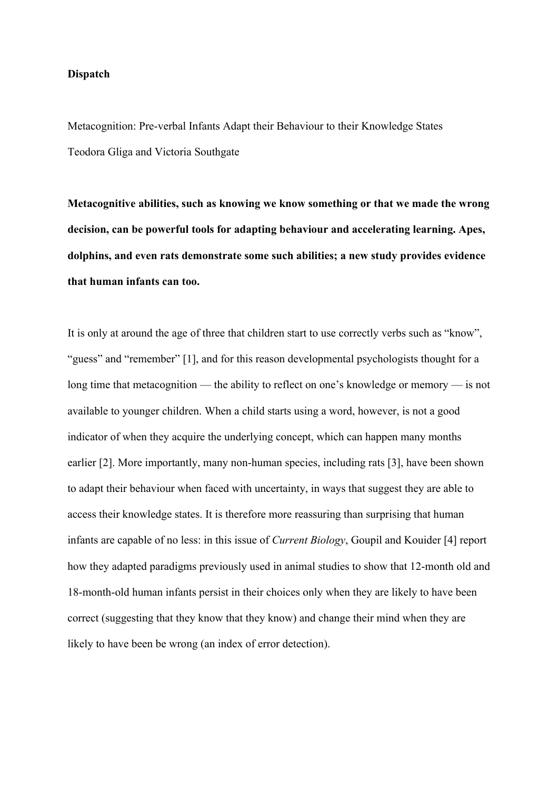### **Dispatch**

Metacognition: Pre-verbal Infants Adapt their Behaviour to their Knowledge States Teodora Gliga and Victoria Southgate

**Metacognitive abilities, such as knowing we know something or that we made the wrong decision, can be powerful tools for adapting behaviour and accelerating learning. Apes, dolphins, and even rats demonstrate some such abilities; a new study provides evidence that human infants can too.**

It is only at around the age of three that children start to use correctly verbs such as "know", "guess" and "remember" [1], and for this reason developmental psychologists thought for a long time that metacognition — the ability to reflect on one's knowledge or memory — is not available to younger children. When a child starts using a word, however, is not a good indicator of when they acquire the underlying concept, which can happen many months earlier [2]. More importantly, many non-human species, including rats [3], have been shown to adapt their behaviour when faced with uncertainty, in ways that suggest they are able to access their knowledge states. It is therefore more reassuring than surprising that human infants are capable of no less: in this issue of *Current Biology*, Goupil and Kouider [4] report how they adapted paradigms previously used in animal studies to show that 12-month old and 18-month-old human infants persist in their choices only when they are likely to have been correct (suggesting that they know that they know) and change their mind when they are likely to have been be wrong (an index of error detection).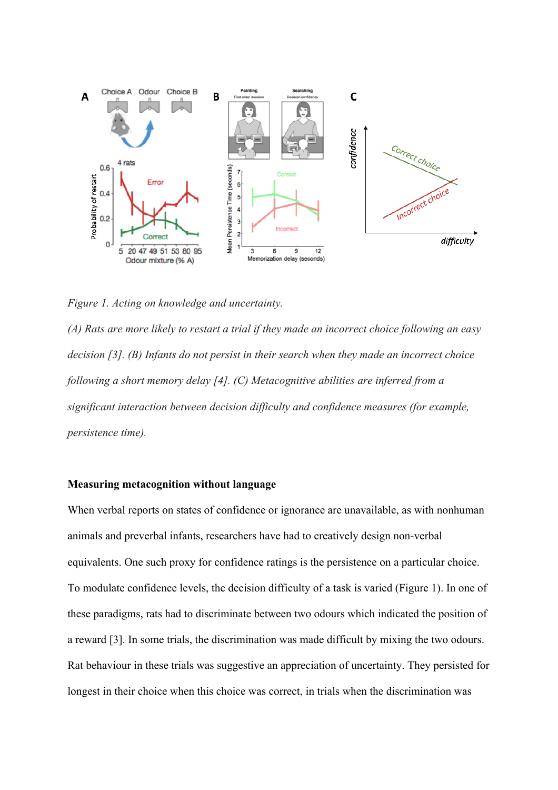

*Figure 1. Acting on knowledge and uncertainty.*

*(A) Rats are more likely to restart a trial if they made an incorrect choice following an easy decision [3]. (B) Infants do not persist in their search when they made an incorrect choice following a short memory delay [4]. (C) Metacognitive abilities are inferred from a significant interaction between decision difficulty and confidence measures (for example, persistence time).*

# **Measuring metacognition without language**

When verbal reports on states of confidence or ignorance are unavailable, as with nonhuman animals and preverbal infants, researchers have had to creatively design non-verbal equivalents. One such proxy for confidence ratings is the persistence on a particular choice. To modulate confidence levels, the decision difficulty of a task is varied (Figure 1). In one of these paradigms, rats had to discriminate between two odours which indicated the position of a reward [3]. In some trials, the discrimination was made difficult by mixing the two odours. Rat behaviour in these trials was suggestive an appreciation of uncertainty. They persisted for longest in their choice when this choice was correct, in trials when the discrimination was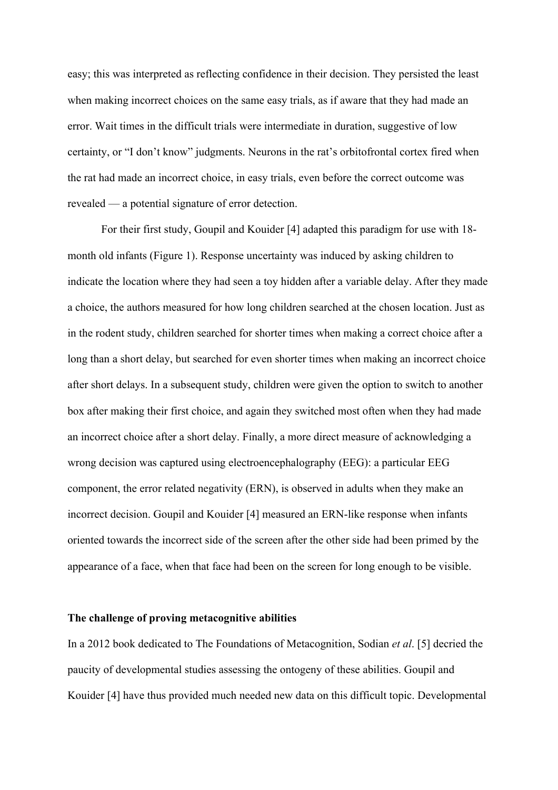easy; this was interpreted as reflecting confidence in their decision. They persisted the least when making incorrect choices on the same easy trials, as if aware that they had made an error. Wait times in the difficult trials were intermediate in duration, suggestive of low certainty, or "I don't know" judgments. Neurons in the rat's orbitofrontal cortex fired when the rat had made an incorrect choice, in easy trials, even before the correct outcome was revealed — a potential signature of error detection.

For their first study, Goupil and Kouider [4] adapted this paradigm for use with 18 month old infants (Figure 1). Response uncertainty was induced by asking children to indicate the location where they had seen a toy hidden after a variable delay. After they made a choice, the authors measured for how long children searched at the chosen location. Just as in the rodent study, children searched for shorter times when making a correct choice after a long than a short delay, but searched for even shorter times when making an incorrect choice after short delays. In a subsequent study, children were given the option to switch to another box after making their first choice, and again they switched most often when they had made an incorrect choice after a short delay. Finally, a more direct measure of acknowledging a wrong decision was captured using electroencephalography (EEG): a particular EEG component, the error related negativity (ERN), is observed in adults when they make an incorrect decision. Goupil and Kouider [4] measured an ERN-like response when infants oriented towards the incorrect side of the screen after the other side had been primed by the appearance of a face, when that face had been on the screen for long enough to be visible.

#### **The challenge of proving metacognitive abilities**

In a 2012 book dedicated to The Foundations of Metacognition, Sodian *et al*. [5] decried the paucity of developmental studies assessing the ontogeny of these abilities. Goupil and Kouider [4] have thus provided much needed new data on this difficult topic. Developmental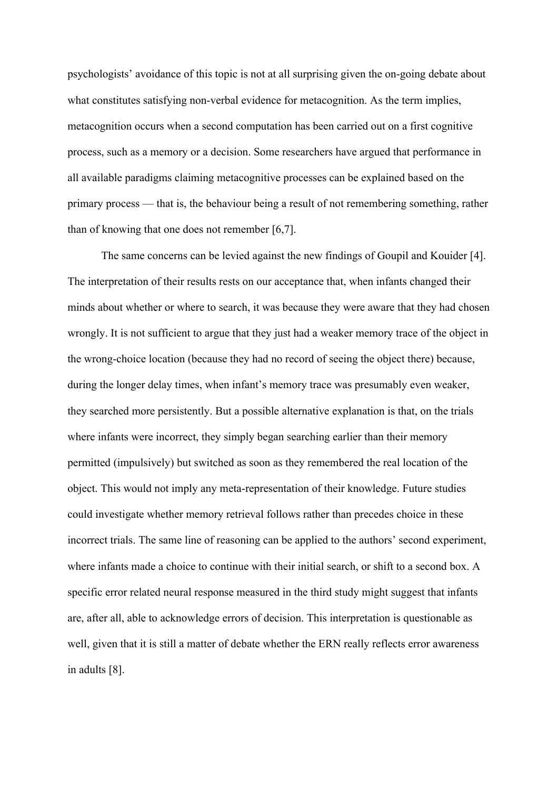psychologists' avoidance of this topic is not at all surprising given the on-going debate about what constitutes satisfying non-verbal evidence for metacognition. As the term implies, metacognition occurs when a second computation has been carried out on a first cognitive process, such as a memory or a decision. Some researchers have argued that performance in all available paradigms claiming metacognitive processes can be explained based on the primary process — that is, the behaviour being a result of not remembering something, rather than of knowing that one does not remember [6,7].

The same concerns can be levied against the new findings of Goupil and Kouider [4]. The interpretation of their results rests on our acceptance that, when infants changed their minds about whether or where to search, it was because they were aware that they had chosen wrongly. It is not sufficient to argue that they just had a weaker memory trace of the object in the wrong-choice location (because they had no record of seeing the object there) because, during the longer delay times, when infant's memory trace was presumably even weaker, they searched more persistently. But a possible alternative explanation is that, on the trials where infants were incorrect, they simply began searching earlier than their memory permitted (impulsively) but switched as soon as they remembered the real location of the object. This would not imply any meta-representation of their knowledge. Future studies could investigate whether memory retrieval follows rather than precedes choice in these incorrect trials. The same line of reasoning can be applied to the authors' second experiment, where infants made a choice to continue with their initial search, or shift to a second box. A specific error related neural response measured in the third study might suggest that infants are, after all, able to acknowledge errors of decision. This interpretation is questionable as well, given that it is still a matter of debate whether the ERN really reflects error awareness in adults [8].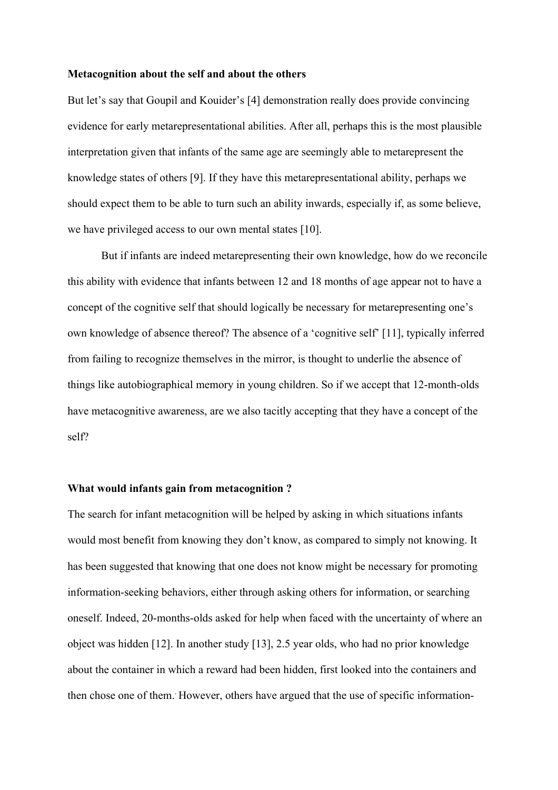#### **Metacognition about the self and about the others**

But let's say that Goupil and Kouider's [4] demonstration really does provide convincing evidence for early metarepresentational abilities. After all, perhaps this is the most plausible interpretation given that infants of the same age are seemingly able to metarepresent the knowledge states of others [9]. If they have this metarepresentational ability, perhaps we should expect them to be able to turn such an ability inwards, especially if, as some believe, we have privileged access to our own mental states [10].

But if infants are indeed metarepresenting their own knowledge, how do we reconcile this ability with evidence that infants between 12 and 18 months of age appear not to have a concept of the cognitive self that should logically be necessary for metarepresenting one's own knowledge of absence thereof? The absence of a 'cognitive self' [11], typically inferred from failing to recognize themselves in the mirror, is thought to underlie the absence of things like autobiographical memory in young children. So if we accept that 12-month-olds have metacognitive awareness, are we also tacitly accepting that they have a concept of the self?

# **What would infants gain from metacognition ?**

The search for infant metacognition will be helped by asking in which situations infants would most benefit from knowing they don't know, as compared to simply not knowing. It has been suggested that knowing that one does not know might be necessary for promoting information-seeking behaviors, either through asking others for information, or searching oneself. Indeed, 20-months-olds asked for help when faced with the uncertainty of where an object was hidden [12]. In another study [13], 2.5 year olds, who had no prior knowledge about the container in which a reward had been hidden, first looked into the containers and then chose one of them. However, others have argued that the use of specific information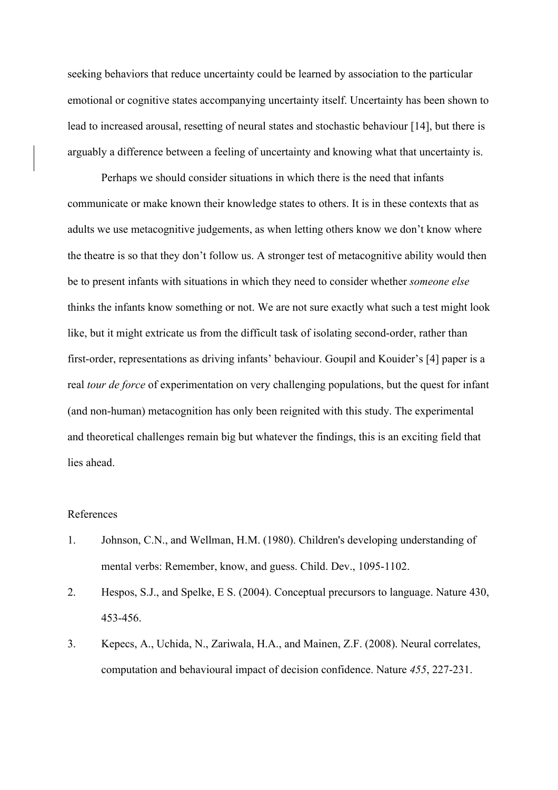seeking behaviors that reduce uncertainty could be learned by association to the particular emotional or cognitive states accompanying uncertainty itself. Uncertainty has been shown to lead to increased arousal, resetting of neural states and stochastic behaviour [14], but there is arguably a difference between a feeling of uncertainty and knowing what that uncertainty is.

Perhaps we should consider situations in which there is the need that infants communicate or make known their knowledge states to others. It is in these contexts that as adults we use metacognitive judgements, as when letting others know we don't know where the theatre is so that they don't follow us. A stronger test of metacognitive ability would then be to present infants with situations in which they need to consider whether *someone else* thinks the infants know something or not. We are not sure exactly what such a test might look like, but it might extricate us from the difficult task of isolating second-order, rather than first-order, representations as driving infants' behaviour. Goupil and Kouider's [4] paper is a real *tour de force* of experimentation on very challenging populations, but the quest for infant (and non-human) metacognition has only been reignited with this study. The experimental and theoretical challenges remain big but whatever the findings, this is an exciting field that lies ahead.

#### References

- 1. Johnson, C.N., and Wellman, H.M. (1980). Children's developing understanding of mental verbs: Remember, know, and guess. Child. Dev., 1095-1102.
- 2. Hespos, S.J., and Spelke, E S. (2004). Conceptual precursors to language. Nature 430, 453-456.
- 3. Kepecs, A., Uchida, N., Zariwala, H.A., and Mainen, Z.F. (2008). Neural correlates, computation and behavioural impact of decision confidence. Nature *455*, 227-231.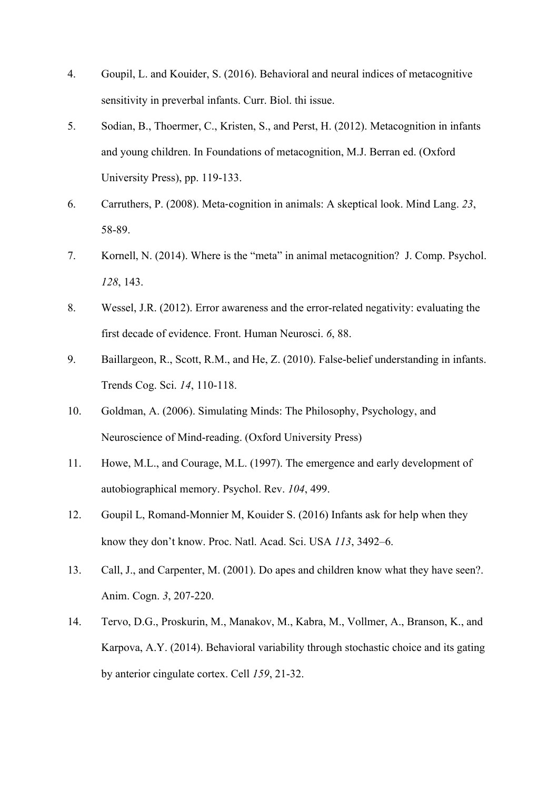- 4. Goupil, L. and Kouider, S. (2016). Behavioral and neural indices of metacognitive sensitivity in preverbal infants. Curr. Biol. thi issue.
- 5. Sodian, B., Thoermer, C., Kristen, S., and Perst, H. (2012). Metacognition in infants and young children. In Foundations of metacognition, M.J. Berran ed. (Oxford University Press), pp. 119-133.
- 6. Carruthers, P. (2008). Meta-cognition in animals: A skeptical look. Mind Lang. *23*, 58-89.
- 7. Kornell, N. (2014). Where is the "meta" in animal metacognition? J. Comp. Psychol. *128*, 143.
- 8. Wessel, J.R. (2012). Error awareness and the error-related negativity: evaluating the first decade of evidence. Front. Human Neurosci. *6*, 88.
- 9. Baillargeon, R., Scott, R.M., and He, Z. (2010). False-belief understanding in infants. Trends Cog. Sci. *14*, 110-118.
- 10. Goldman, A. (2006). Simulating Minds: The Philosophy, Psychology, and Neuroscience of Mind-reading. (Oxford University Press)
- 11. Howe, M.L., and Courage, M.L. (1997). The emergence and early development of autobiographical memory. Psychol. Rev. *104*, 499.
- 12. Goupil L, Romand-Monnier M, Kouider S. (2016) Infants ask for help when they know they don't know. Proc. Natl. Acad. Sci. USA *113*, 3492–6.
- 13. Call, J., and Carpenter, M. (2001). Do apes and children know what they have seen?. Anim. Cogn. *3*, 207-220.
- 14. Tervo, D.G., Proskurin, M., Manakov, M., Kabra, M., Vollmer, A., Branson, K., and Karpova, A.Y. (2014). Behavioral variability through stochastic choice and its gating by anterior cingulate cortex. Cell *159*, 21-32.